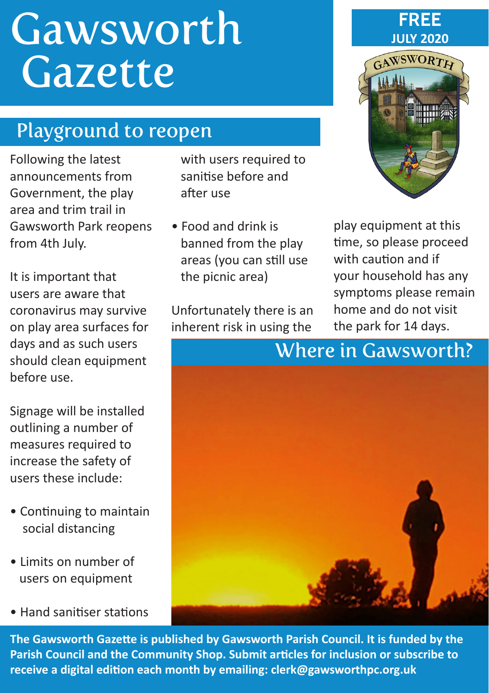## **Gawsworth** Gazette

## Playground to reopen

Following the latest announcements from Government, the play area and trim trail in Gawsworth Park reopens from 4th July.

It is important that users are aware that coronavirus may survive on play area surfaces for days and as such users should clean equipment before use.

Signage will be installed outlining a number of measures required to increase the safety of users these include:

- Continuing to maintain social distancing
- Limits on number of users on equipment
- Hand sanitiser stations

 with users required to sanitise before and after use

• Food and drink is banned from the play areas (you can still use the picnic area)

Unfortunately there is an inherent risk in using the



**FREE**

play equipment at this time, so please proceed with caution and if your household has any symptoms please remain home and do not visit the park for 14 days.

# Where in Gawsworth?



**The Gawsworth Gazette is published by Gawsworth Parish Council. It is funded by the Parish Council and the Community Shop. Submit articles for inclusion or subscribe to receive a digital edition each month by emailing: clerk@gawsworthpc.org.uk**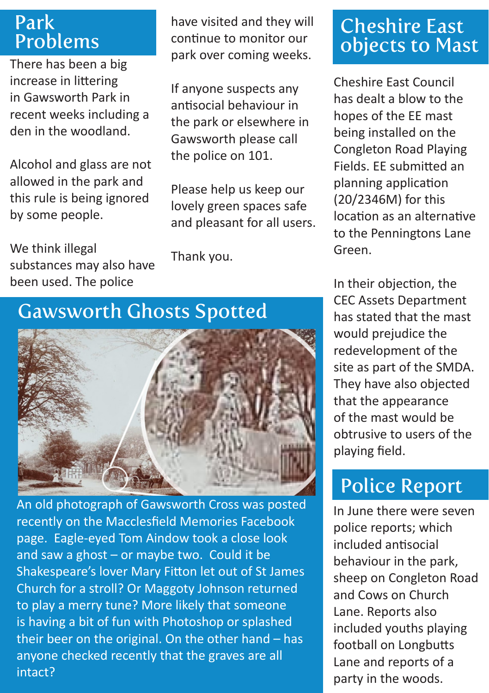#### Park Problems

There has been a big increase in littering in Gawsworth Park in recent weeks including a den in the woodland.

Alcohol and glass are not allowed in the park and this rule is being ignored by some people.

We think illegal substances may also have been used. The police

have visited and they will continue to monitor our park over coming weeks.

If anyone suspects any antisocial behaviour in the park or elsewhere in Gawsworth please call the police on 101.

Please help us keep our lovely green spaces safe and pleasant for all users.

Thank you.

## Cheshire East objects to Mast

Cheshire East Council has dealt a blow to the hopes of the EE mast being installed on the Congleton Road Playing Fields. EE submitted an planning application (20/2346M) for this location as an alternative to the Penningtons Lane Green.

In their objection, the CEC Assets Department has stated that the mast would prejudice the redevelopment of the site as part of the SMDA. They have also objected that the appearance of the mast would be obtrusive to users of the playing field.

## Police Report

In June there were seven police reports; which included antisocial behaviour in the park, sheep on Congleton Road and Cows on Church Lane. Reports also included youths playing football on Longbutts Lane and reports of a party in the woods.

## Gawsworth Ghosts Spotted



An old photograph of Gawsworth Cross was posted recently on the Macclesfield Memories Facebook page. Eagle-eyed Tom Aindow took a close look and saw a ghost – or maybe two. Could it be Shakespeare's lover Mary Fitton let out of St James Church for a stroll? Or Maggoty Johnson returned to play a merry tune? More likely that someone is having a bit of fun with Photoshop or splashed their beer on the original. On the other hand – has anyone checked recently that the graves are all intact?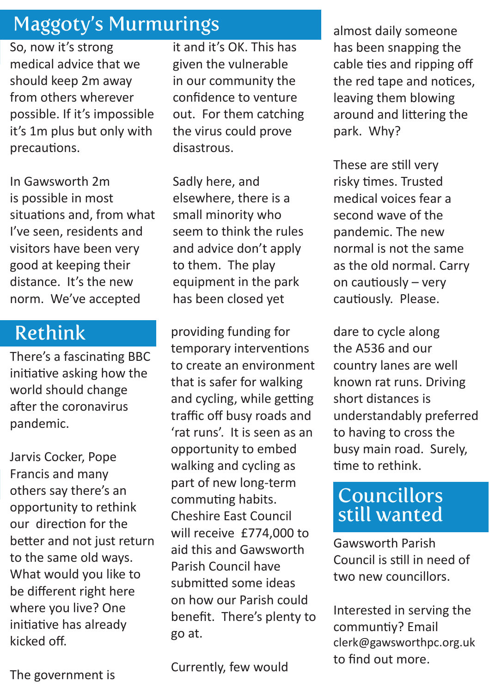## Maggoty's Murmurings

So, now it's strong medical advice that we should keep 2m away from others wherever possible. If it's impossible it's 1m plus but only with precautions.

In Gawsworth 2m is possible in most situations and, from what I've seen, residents and visitors have been very good at keeping their distance. It's the new norm. We've accepted

## Rethink

There's a fascinating BBC initiative asking how the world should change after the coronavirus pandemic.

Jarvis Cocker, Pope Francis and many others say there's an opportunity to rethink our direction for the better and not just return to the same old ways. What would you like to be different right here where you live? One initiative has already kicked off.

The government is

it and it's OK. This has given the vulnerable in our community the confidence to venture out. For them catching the virus could prove disastrous.

Sadly here, and elsewhere, there is a small minority who seem to think the rules and advice don't apply to them. The play equipment in the park has been closed yet

providing funding for temporary interventions to create an environment that is safer for walking and cycling, while getting traffic off busy roads and 'rat runs'. It is seen as an opportunity to embed walking and cycling as part of new long-term commuting habits. Cheshire East Council will receive £774,000 to aid this and Gawsworth Parish Council have submitted some ideas on how our Parish could benefit. There's plenty to go at.

Currently, few would

almost daily someone has been snapping the cable ties and ripping off the red tape and notices, leaving them blowing around and littering the park. Why?

These are still very risky times. Trusted medical voices fear a second wave of the pandemic. The new normal is not the same as the old normal. Carry on cautiously – very cautiously. Please.

dare to cycle along the A536 and our country lanes are well known rat runs. Driving short distances is understandably preferred to having to cross the busy main road. Surely, time to rethink.

## **Councillors** still wanted

Gawsworth Parish Council is still in need of two new councillors.

Interested in serving the communtiy? Email clerk@gawsworthpc.org.uk to find out more.